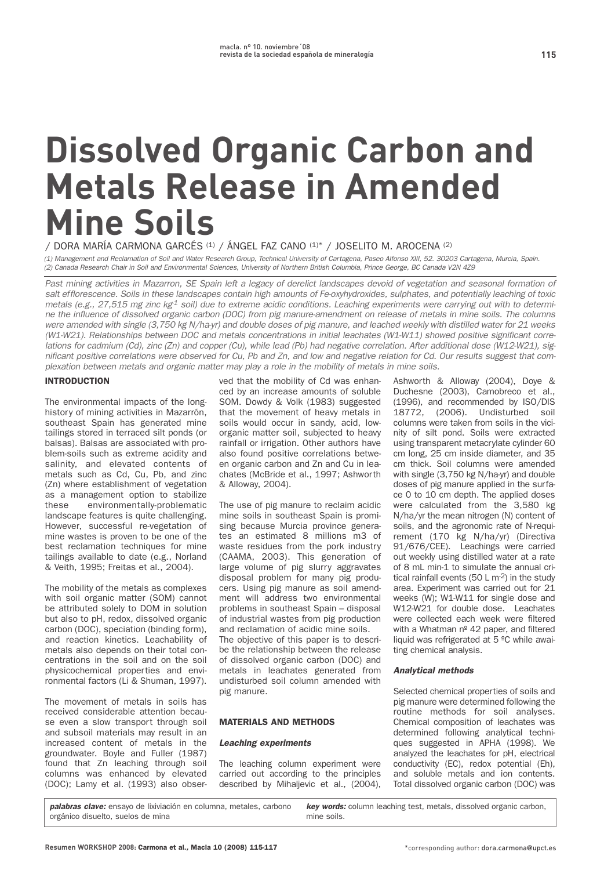# **Dissolved Organic Carbon and Metals Release in Amended Mine Soils**

**/ DORA MARÍA CARMONA GARCÉS (1) / ÁNGEL FAZ CANO (1)\* / JOSELITO M. AROCENA (2)**

(1) Management and Reclamation of Soil and Water Research Group, Technical University of Cartagena, Paseo Alfonso XIII, 52. 30203 Cartagena, Murcia, Spain. (2) Canada Research Chair in Soil and Environmental Sciences, University of Northern British Columbia, Prince George, BC Canada V2N 4Z9

Past mining activities in Mazarron, SE Spain left a legacy of derelict landscapes devoid of vegetation and seasonal formation of salt efflorescence. Soils in these landscapes contain high amounts of Fe-oxyhydroxides, sulphates, and potentially leaching of toxic metals (e.g., 27,515 mg zinc  $kg^4$  soil) due to extreme acidic conditions. Leaching experiments were carrying out with to determine the influence of dissolved organic carbon (DOC) from pig manure-amendment on release of metals in mine soils. The columns were amended with single (3,750 kg N/ha-yr) and double doses of pig manure, and leached weekly with distilled water for 21 weeks (W1-W21). Relationships between DOC and metals concentrations in initial leachates (W1-W11) showed positive significant correlations for cadmium (Cd), zinc (Zn) and copper (Cu), while lead (Pb) had negative correlation. After additional dose (W12-W21), significant positive correlations were observed for Cu, Pb and Zn, and low and negative relation for Cd. Our results suggest that complexation between metals and organic matter may play a role in the mobility of metals in mine soils.

# INTRODUCTION

**The environmental impacts of the longhistory of mining activities in Mazarrón, southeast Spain has generated mine tailings stored in terraced silt ponds (or balsas). Balsas are associated with problem-soils such as extreme acidity and salinity, and elevated contents of metals such as Cd, Cu, Pb, and zinc (Zn) where establishment of vegetation as a management option to stabilize these environmentally-problematic landscape features is quite challenging. However, successful re-vegetation of mine wastes is proven to be one of the best reclamation techniques for mine tailings available to date (e.g., Norland & Veith, 1995; Freitas et al., 2004).**

**The mobility of the metals as complexes with soil organic matter (SOM) cannot be attributed solely to DOM in solution but also to pH, redox, dissolved organic carbon (DOC), speciation (binding form), and reaction kinetics. Leachability of metals also depends on their total concentrations in the soil and on the soil physicochemical properties and environmental factors (Li & Shuman, 1997).**

**The movement of metals in soils has received considerable attention because even a slow transport through soil and subsoil materials may result in an increased content of metals in the groundwater. Boyle and Fuller (1987) found that Zn leaching through soil columns was enhanced by elevated (DOC); Lamy et al. (1993) also obser-** **ved that the mobility of Cd was enhanced by an increase amounts of soluble SOM. Dowdy & Volk (1983) suggested that the movement of heavy metals in soils would occur in sandy, acid, loworganic matter soil, subjected to heavy rainfall or irrigation. Other authors have also found positive correlations between organic carbon and Zn and Cu in leachates (McBride et al., 1997; Ashworth & Alloway, 2004).**

**The use of pig manure to reclaim acidic mine soils in southeast Spain is promising because Murcia province generates an estimated 8 millions m3 of waste residues from the pork industry (CAAMA, 2003). This generation of large volume of pig slurry aggravates disposal problem for many pig producers. Using pig manure as soil amendment will address two environmental problems in southeast Spain – disposal of industrial wastes from pig production and reclamation of acidic mine soils. The objective of this paper is to descri-**

**be the relationship between the release of dissolved organic carbon (DOC) and metals in leachates generated from undisturbed soil column amended with pig manure.** 

## MATERIALS AND METHODS

## **Leaching experiments**

**The leaching column experiment were carried out according to the principles described by Mihaljevic et al., (2004),**

**Ashworth & Alloway (2004), Doye & Duchesne (2003), Camobreco et al., (1996), and recommended by ISO/DIS 18772, (2006). Undisturbed soil columns were taken from soils in the vicinity of silt pond. Soils were extracted using transparent metacrylate cylinder 60 cm long, 25 cm inside diameter, and 35 cm thick. Soil columns were amended with single (3,750 kg N/ha-yr) and double doses of pig manure applied in the surface 0 to 10 cm depth. The applied doses were calculated from the 3,580 kg N/ha/yr the mean nitrogen (N) content of soils, and the agronomic rate of N-requirement (170 kg N/ha/yr) (Directiva 91/676/CEE). Leachings were carried out weekly using distilled water at a rate of 8 mL min-1 to simulate the annual critical rainfall events (50 L m-2) in the study area. Experiment was carried out for 21 weeks (W); W1-W11 for single dose and W12-W21 for double dose. Leachates were collected each week were filtered with a Whatman nº 42 paper, and filtered liquid was refrigerated at 5 ºC while awaiting chemical analysis.**

## **Analytical methods**

**Selected chemical properties of soils and pig manure were determined following the routine methods for soil analyses. Chemical composition of leachates was determined following analytical techniques suggested in APHA (1998). We analyzed the leachates for pH, electrical conductivity (EC), redox potential (Eh), and soluble metals and ion contents. Total dissolved organic carbon (DOC) was**

**palabras clave: ensayo de lixiviación en columna, metales, carbono orgánico disuelto, suelos de mina key words: column leaching test, metals, dissolved organic carbon, mine soils.**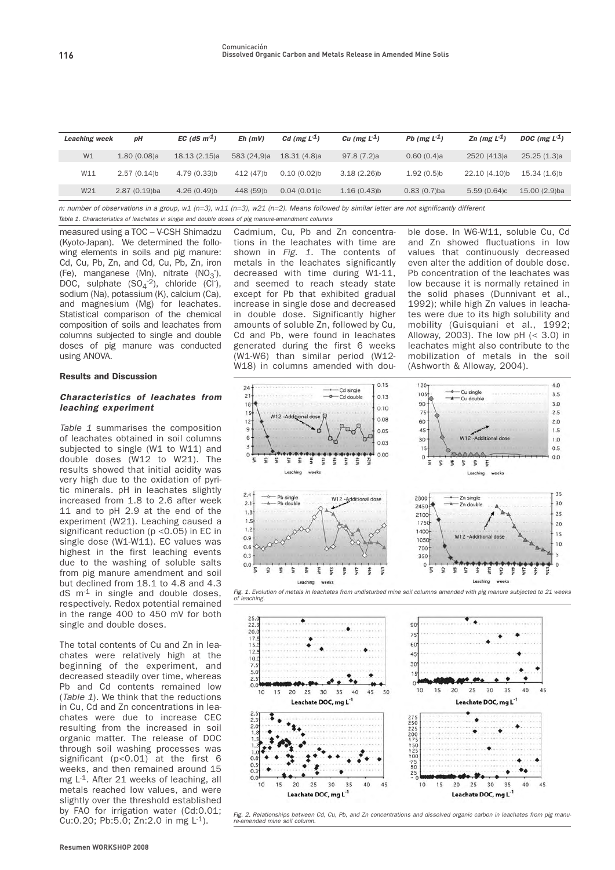| <b>Leaching week</b> | pН              | EC (dS $m1$ ) | $Eh$ ( $mV$ ) | Cd (mg $L-1$ ) | Cu (mg $L^2$ ) | Pb ( $mgL-1$ ) | Zn (mg $L^2$ ) | DOC (mg $L-1$ ) |
|----------------------|-----------------|---------------|---------------|----------------|----------------|----------------|----------------|-----------------|
| W1                   | 1.80(0.08)a     | 18.13(2.15)a  | 583 (24,9)a   | 18.31 (4.8)a   | 97.8(7.2)a     | 0.60(0.4)a     | 2520 (413)a    | 25.25(1.3)a     |
| W11                  | $2.57(0.14)$ b  | 4.79 (0.33)b  | 412 (47)b     | 0.10(0.02)     | $3.18(2.26)$ b | 1.92(0.5)      | 22.10 (4.10)b  | 15.34 (1.6)b    |
| W21                  | $2.87(0.19)$ ba | 4.26(0.49)    | 448 (59)b     | 0.04(0.01)c    | 1.16(0.43)b    | $0.83(0.7)$ ba | 5.59(0.64)c    | 15.00 (2.9)ba   |

n: number of observations in a group, w1 (n=3), w11 (n=3), w21 (n=2). Means followed by similar letter are not significantly different

**measured using a TOC – V-CSH Shimadzu** Tabla 1. Characteristics of leachates in single and double doses of pig manure-amendment columns

**(Kyoto-Japan). We determined the following elements in soils and pig manure: Cd, Cu, Pb, Zn, and Cd, Cu, Pb, Zn, iron**  $\text{C}_3$ ,  $\text{C}_4$ ,  $\text{C}_5$ ,  $\text{C}_7$ ,  $\text{C}_8$ ,  $\text{C}_9$ ,  $\text{C}_9$ ,  $\text{C}_9$ ,  $\text{C}_9$ ,  $\text{C}_9$ ,  $\text{C}_9$ ,  $\text{C}_9$ ,  $\text{C}_9$ ,  $\text{C}_9$ ,  $\text{C}_9$ ,  $\text{C}_9$ ,  $\text{C}_9$ ,  $\text{C}_9$ ,  $\text{C}_9$ ,  $\text{C}_9$ ,  $\text{C}_9$ ,  $\text{C}_9$ ,  $\text{DOC}$ , mangemese ( $\text{wn}$ ), maate ( $\text{N} \text{O}_3$ ),<br>DOC, sulphate ( $\text{SO}_4^{-2}$ ), chloride (Cl<sup>-</sup>), **sodium (Na), potassium (K), calcium (Ca), and magnesium (Mg) for leachates. Statistical comparison of the chemical composition of soils and leachates from columns subjected to single and double doses of pig manure was conducted using ANOVA.**

## Results and Discussion

## **Characteristics of leachates from leaching experiment**

Table 1 **summarises the composition of leachates obtained in soil columns subjected to single (W1 to W11) and double doses (W12 to W21). The results showed that initial acidity was very high due to the oxidation of pyritic minerals. pH in leachates slightly increased from 1.8 to 2.6 after week 11 and to pH 2.9 at the end of the experiment (W21). Leaching caused a significant reduction (p <0.05) in EC in single dose (W1-W11). EC values was highest in the first leaching events due to the washing of soluble salts from pig manure amendment and soil but declined from 18.1 to 4.8 and 4.3 dS m-1 in single and double doses, respectively. Redox potential remained in the range 400 to 450 mV for both single and double doses.**

**The total contents of Cu and Zn in leachates were relatively high at the beginning of the experiment, and decreased steadily over time, whereas Pb and Cd contents remained low (**Table 1**). We think that the reductions in Cu, Cd and Zn concentrations in leachates were due to increase CEC resulting from the increased in soil organic matter. The release of DOC through soil washing processes was significant (p<0.01) at the first 6 weeks, and then remained around 15 mg L-1. After 21 weeks of leaching, all metals reached low values, and were slightly over the threshold established by FAO for irrigation water (Cd:0.01; Cu:0.20; Pb:5.0; Zn:2.0 in mg L-1).** 

**Cadmium, Cu, Pb and Zn concentrations in the leachates with time are shown in** Fig. 1**. The contents of metals in the leachates significantly decreased with time during W1-11, and seemed to reach steady state except for Pb that exhibited gradual increase in single dose and decreased in double dose. Significantly higher amounts of soluble Zn, followed by Cu, Cd and Pb, were found in leachates generated during the first 6 weeks (W1-W6) than similar period (W12- W18) in columns amended with dou-**

**ble dose. In W6-W11, soluble Cu, Cd and Zn showed fluctuations in low values that continuously decreased even alter the addition of double dose. Pb concentration of the leachates was low because it is normally retained in the solid phases (Dunnivant et al., 1992); while high Zn values in leachates were due to its high solubility and mobility (Guisquiani et al., 1992; Alloway, 2003). The low pH (< 3.0) in leachates might also contribute to the mobilization of metals in the soil (Ashworth & Alloway, 2004).** 





Fig. 2. Relationships between Cd, Cu, Pb, and Zn concentrations and dissolved organic carbon in leachates from pig manure-amended mine soil column.